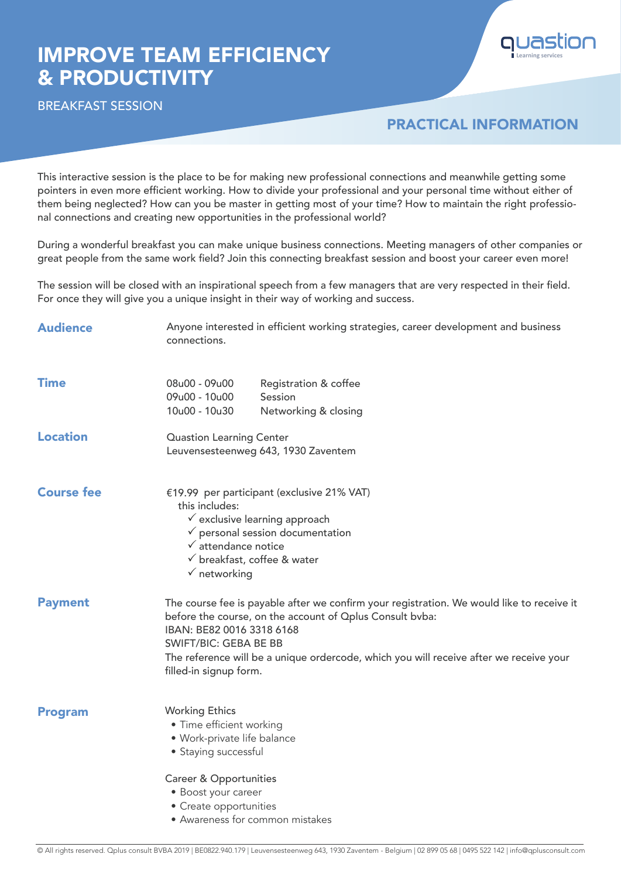## IMPROVE TEAM EFFICIENCY & PRODUCTIVITY



## PRACTICAL INFORMATION

**Learning services**

This interactive session is the place to be for making new professional connections and meanwhile getting some pointers in even more efficient working. How to divide your professional and your personal time without either of them being neglected? How can you be master in getting most of your time? How to maintain the right professional connections and creating new opportunities in the professional world?

During a wonderful breakfast you can make unique business connections. Meeting managers of other companies or great people from the same work field? Join this connecting breakfast session and boost your career even more!

The session will be closed with an inspirational speech from a few managers that are very respected in their field. For once they will give you a unique insight in their way of working and success.

| <b>Audience</b>   | Anyone interested in efficient working strategies, career development and business<br>connections.                                                                                                                                                                                                                                     |  |  |  |  |
|-------------------|----------------------------------------------------------------------------------------------------------------------------------------------------------------------------------------------------------------------------------------------------------------------------------------------------------------------------------------|--|--|--|--|
| <b>Time</b>       | 08u00 - 09u00<br>Registration & coffee<br>09u00 - 10u00<br>Session<br>10u00 - 10u30<br>Networking & closing                                                                                                                                                                                                                            |  |  |  |  |
| <b>Location</b>   | <b>Quastion Learning Center</b><br>Leuvensesteenweg 643, 1930 Zaventem                                                                                                                                                                                                                                                                 |  |  |  |  |
| <b>Course fee</b> | €19.99 per participant (exclusive 21% VAT)<br>this includes:<br>$\checkmark$ exclusive learning approach<br>$\checkmark$ personal session documentation<br>$\checkmark$ attendance notice<br>$\checkmark$ breakfast, coffee & water<br>$\checkmark$ networking                                                                         |  |  |  |  |
| <b>Payment</b>    | The course fee is payable after we confirm your registration. We would like to receive it<br>before the course, on the account of Oplus Consult bvba:<br>IBAN: BE82 0016 3318 6168<br><b>SWIFT/BIC: GEBA BE BB</b><br>The reference will be a unique ordercode, which you will receive after we receive your<br>filled-in signup form. |  |  |  |  |
| <b>Program</b>    | <b>Working Ethics</b><br>• Time efficient working<br>• Work-private life balance<br>• Staying successful                                                                                                                                                                                                                               |  |  |  |  |
|                   | <b>Career &amp; Opportunities</b><br>• Boost your career<br>• Create opportunities<br>• Awareness for common mistakes                                                                                                                                                                                                                  |  |  |  |  |